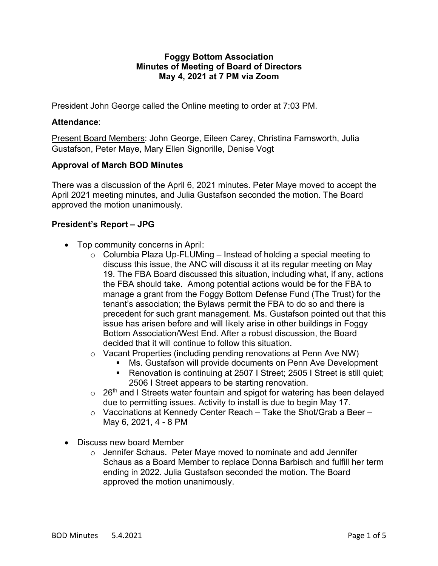#### **Foggy Bottom Association Minutes of Meeting of Board of Directors May 4, 2021 at 7 PM via Zoom**

President John George called the Online meeting to order at 7:03 PM.

## **Attendance**:

Present Board Members: John George, Eileen Carey, Christina Farnsworth, Julia Gustafson, Peter Maye, Mary Ellen Signorille, Denise Vogt

# **Approval of March BOD Minutes**

There was a discussion of the April 6, 2021 minutes. Peter Maye moved to accept the April 2021 meeting minutes, and Julia Gustafson seconded the motion. The Board approved the motion unanimously.

# **President's Report – JPG**

- Top community concerns in April:
	- $\circ$  Columbia Plaza Up-FLUMing Instead of holding a special meeting to discuss this issue, the ANC will discuss it at its regular meeting on May 19. The FBA Board discussed this situation, including what, if any, actions the FBA should take. Among potential actions would be for the FBA to manage a grant from the Foggy Bottom Defense Fund (The Trust) for the tenant's association; the Bylaws permit the FBA to do so and there is precedent for such grant management. Ms. Gustafson pointed out that this issue has arisen before and will likely arise in other buildings in Foggy Bottom Association/West End. After a robust discussion, the Board decided that it will continue to follow this situation.
	- o Vacant Properties (including pending renovations at Penn Ave NW)
		- Ms. Gustafson will provide documents on Penn Ave Development
			- § Renovation is continuing at 2507 I Street; 2505 I Street is still quiet; 2506 I Street appears to be starting renovation.
	- $\circ$  26<sup>th</sup> and I Streets water fountain and spigot for watering has been delayed due to permitting issues. Activity to install is due to begin May 17.
	- o Vaccinations at Kennedy Center Reach Take the Shot/Grab a Beer May 6, 2021, 4 - 8 PM
- Discuss new board Member
	- o Jennifer Schaus. Peter Maye moved to nominate and add Jennifer Schaus as a Board Member to replace Donna Barbisch and fulfill her term ending in 2022. Julia Gustafson seconded the motion. The Board approved the motion unanimously.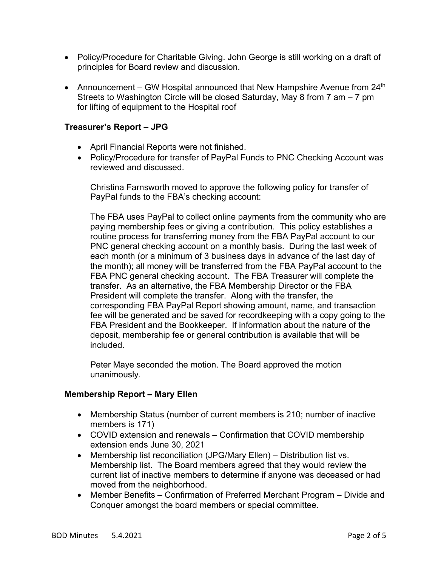- Policy/Procedure for Charitable Giving. John George is still working on a draft of principles for Board review and discussion.
- Announcement GW Hospital announced that New Hampshire Avenue from  $24<sup>th</sup>$ Streets to Washington Circle will be closed Saturday, May 8 from 7 am – 7 pm for lifting of equipment to the Hospital roof

## **Treasurer's Report – JPG**

- April Financial Reports were not finished.
- Policy/Procedure for transfer of PayPal Funds to PNC Checking Account was reviewed and discussed.

Christina Farnsworth moved to approve the following policy for transfer of PayPal funds to the FBA's checking account:

The FBA uses PayPal to collect online payments from the community who are paying membership fees or giving a contribution. This policy establishes a routine process for transferring money from the FBA PayPal account to our PNC general checking account on a monthly basis. During the last week of each month (or a minimum of 3 business days in advance of the last day of the month); all money will be transferred from the FBA PayPal account to the FBA PNC general checking account. The FBA Treasurer will complete the transfer. As an alternative, the FBA Membership Director or the FBA President will complete the transfer. Along with the transfer, the corresponding FBA PayPal Report showing amount, name, and transaction fee will be generated and be saved for recordkeeping with a copy going to the FBA President and the Bookkeeper. If information about the nature of the deposit, membership fee or general contribution is available that will be included.

Peter Maye seconded the motion. The Board approved the motion unanimously.

### **Membership Report – Mary Ellen**

- Membership Status (number of current members is 210; number of inactive members is 171)
- COVID extension and renewals Confirmation that COVID membership extension ends June 30, 2021
- Membership list reconciliation (JPG/Mary Ellen) Distribution list vs. Membership list. The Board members agreed that they would review the current list of inactive members to determine if anyone was deceased or had moved from the neighborhood.
- Member Benefits Confirmation of Preferred Merchant Program Divide and Conquer amongst the board members or special committee.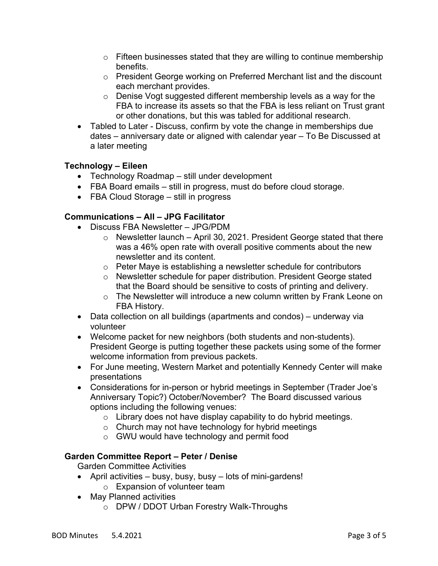- $\circ$  Fifteen businesses stated that they are willing to continue membership benefits.
- o President George working on Preferred Merchant list and the discount each merchant provides.
- o Denise Vogt suggested different membership levels as a way for the FBA to increase its assets so that the FBA is less reliant on Trust grant or other donations, but this was tabled for additional research.
- Tabled to Later Discuss, confirm by vote the change in memberships due dates – anniversary date or aligned with calendar year – To Be Discussed at a later meeting

### **Technology – Eileen**

- Technology Roadmap still under development
- FBA Board emails still in progress, must do before cloud storage.
- FBA Cloud Storage still in progress

# **Communications – All – JPG Facilitator**

- Discuss FBA Newsletter JPG/PDM
	- $\circ$  Newsletter launch April 30, 2021. President George stated that there was a 46% open rate with overall positive comments about the new newsletter and its content.
	- o Peter Maye is establishing a newsletter schedule for contributors
	- o Newsletter schedule for paper distribution. President George stated that the Board should be sensitive to costs of printing and delivery.
	- o The Newsletter will introduce a new column written by Frank Leone on FBA History.
- Data collection on all buildings (apartments and condos) underway via volunteer
- Welcome packet for new neighbors (both students and non-students). President George is putting together these packets using some of the former welcome information from previous packets.
- For June meeting, Western Market and potentially Kennedy Center will make presentations
- Considerations for in-person or hybrid meetings in September (Trader Joe's Anniversary Topic?) October/November? The Board discussed various options including the following venues:
	- $\circ$  Library does not have display capability to do hybrid meetings.
	- $\circ$  Church may not have technology for hybrid meetings
	- o GWU would have technology and permit food

### **Garden Committee Report – Peter / Denise**

Garden Committee Activities

- April activities busy, busy, busy lots of mini-gardens!
	- o Expansion of volunteer team
- May Planned activities
	- o DPW / DDOT Urban Forestry Walk-Throughs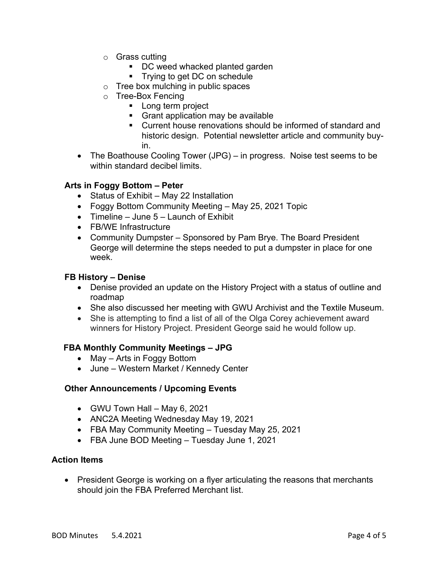- o Grass cutting
	- DC weed whacked planted garden
	- **Fig.** Trying to get DC on schedule
- o Tree box mulching in public spaces
- o Tree-Box Fencing
	- Long term project
	- Grant application may be available
	- Current house renovations should be informed of standard and historic design. Potential newsletter article and community buyin.
- The Boathouse Cooling Tower (JPG) in progress. Noise test seems to be within standard decibel limits.

### **Arts in Foggy Bottom – Peter**

- Status of Exhibit May 22 Installation
- Foggy Bottom Community Meeting May 25, 2021 Topic
- Timeline June 5 Launch of Exhibit
- FB/WE Infrastructure
- Community Dumpster Sponsored by Pam Brye. The Board President George will determine the steps needed to put a dumpster in place for one week.

#### **FB History – Denise**

- Denise provided an update on the History Project with a status of outline and roadmap
- She also discussed her meeting with GWU Archivist and the Textile Museum.
- She is attempting to find a list of all of the Olga Corey achievement award winners for History Project. President George said he would follow up.

### **FBA Monthly Community Meetings – JPG**

- May Arts in Foggy Bottom
- June Western Market / Kennedy Center

### **Other Announcements / Upcoming Events**

- GWU Town Hall May 6, 2021
- ANC2A Meeting Wednesday May 19, 2021
- FBA May Community Meeting Tuesday May 25, 2021
- FBA June BOD Meeting Tuesday June 1, 2021

#### **Action Items**

• President George is working on a flyer articulating the reasons that merchants should join the FBA Preferred Merchant list.